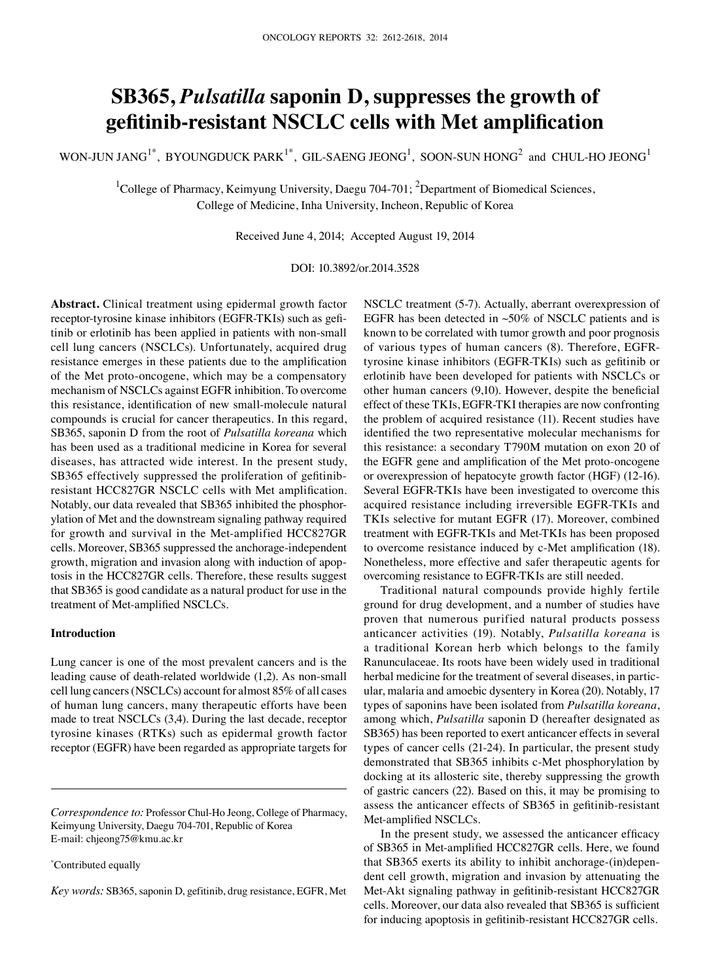# **SB365,** *Pulsatilla* **saponin D, suppresses the growth of gefitinib-resistant NSCLC cells with Met amplification**

WON-JUN JANG<sup>1\*</sup>, BYOUNGDUCK PARK<sup>1\*</sup>, GIL-SAENG JEONG<sup>1</sup>, SOON-SUN HONG<sup>2</sup> and CHUL-HO JEONG<sup>1</sup>

<sup>1</sup>College of Pharmacy, Keimyung University, Daegu 704-701; <sup>2</sup>Department of Biomedical Sciences, College of Medicine, Inha University, Incheon, Republic of Korea

Received June 4, 2014; Accepted August 19, 2014

DOI: 10.3892/or.2014.3528

**Abstract.** Clinical treatment using epidermal growth factor receptor-tyrosine kinase inhibitors (EGFR-TKIs) such as gefitinib or erlotinib has been applied in patients with non-small cell lung cancers (NSCLCs). Unfortunately, acquired drug resistance emerges in these patients due to the amplification of the Met proto-oncogene, which may be a compensatory mechanism of NSCLCs against EGFR inhibition. To overcome this resistance, identification of new small-molecule natural compounds is crucial for cancer therapeutics. In this regard, SB365, saponin D from the root of *Pulsatilla koreana* which has been used as a traditional medicine in Korea for several diseases, has attracted wide interest. In the present study, SB365 effectively suppressed the proliferation of gefitinibresistant HCC827GR NSCLC cells with Met amplification. Notably, our data revealed that SB365 inhibited the phosphorylation of Met and the downstream signaling pathway required for growth and survival in the Met-amplified HCC827GR cells. Moreover, SB365 suppressed the anchorage-independent growth, migration and invasion along with induction of apoptosis in the HCC827GR cells. Therefore, these results suggest that SB365 is good candidate as a natural product for use in the treatment of Met-amplified NSCLCs.

# **Introduction**

Lung cancer is one of the most prevalent cancers and is the leading cause of death-related worldwide (1,2). As non-small cell lung cancers (NSCLCs) account for almost 85% of all cases of human lung cancers, many therapeutic efforts have been made to treat NSCLCs (3,4). During the last decade, receptor tyrosine kinases (RTKs) such as epidermal growth factor receptor (EGFR) have been regarded as appropriate targets for

\* Contributed equally

*Key words:* SB365, saponin D, gefitinib, drug resistance, EGFR, Met

NSCLC treatment (5-7). Actually, aberrant overexpression of EGFR has been detected in  $~50\%$  of NSCLC patients and is known to be correlated with tumor growth and poor prognosis of various types of human cancers (8). Therefore, EGFRtyrosine kinase inhibitors (EGFR-TKIs) such as gefitinib or erlotinib have been developed for patients with NSCLCs or other human cancers (9,10). However, despite the beneficial effect of these TKIs, EGFR-TKI therapies are now confronting the problem of acquired resistance (11). Recent studies have identified the two representative molecular mechanisms for this resistance: a secondary T790M mutation on exon 20 of the EGFR gene and amplification of the Met proto-oncogene or overexpression of hepatocyte growth factor (HGF) (12-16). Several EGFR-TKIs have been investigated to overcome this acquired resistance including irreversible EGFR-TKIs and TKIs selective for mutant EGFR (17). Moreover, combined treatment with EGFR-TKIs and Met-TKIs has been proposed to overcome resistance induced by c-Met amplification (18). Nonetheless, more effective and safer therapeutic agents for overcoming resistance to EGFR-TKIs are still needed.

Traditional natural compounds provide highly fertile ground for drug development, and a number of studies have proven that numerous purified natural products possess anticancer activities (19). Notably, *Pulsatilla koreana* is a traditional Korean herb which belongs to the family Ranunculaceae. Its roots have been widely used in traditional herbal medicine for the treatment of several diseases, in particular, malaria and amoebic dysentery in Korea (20). Notably, 17 types of saponins have been isolated from *Pulsatilla koreana*, among which, *Pulsatilla* saponin D (hereafter designated as SB365) has been reported to exert anticancer effects in several types of cancer cells (21-24). In particular, the present study demonstrated that SB365 inhibits c-Met phosphorylation by docking at its allosteric site, thereby suppressing the growth of gastric cancers (22). Based on this, it may be promising to assess the anticancer effects of SB365 in gefitinib-resistant Met-amplified NSCLCs.

In the present study, we assessed the anticancer efficacy of SB365 in Met-amplified HCC827GR cells. Here, we found that SB365 exerts its ability to inhibit anchorage-(in)dependent cell growth, migration and invasion by attenuating the Met-Akt signaling pathway in gefitinib-resistant HCC827GR cells. Moreover, our data also revealed that SB365 is sufficient for inducing apoptosis in gefitinib-resistant HCC827GR cells.

*Correspondence to:* Professor Chul-Ho Jeong, College of Pharmacy, Keimyung University, Daegu 704-701, Republic of Korea E-mail: chjeong75@kmu.ac.kr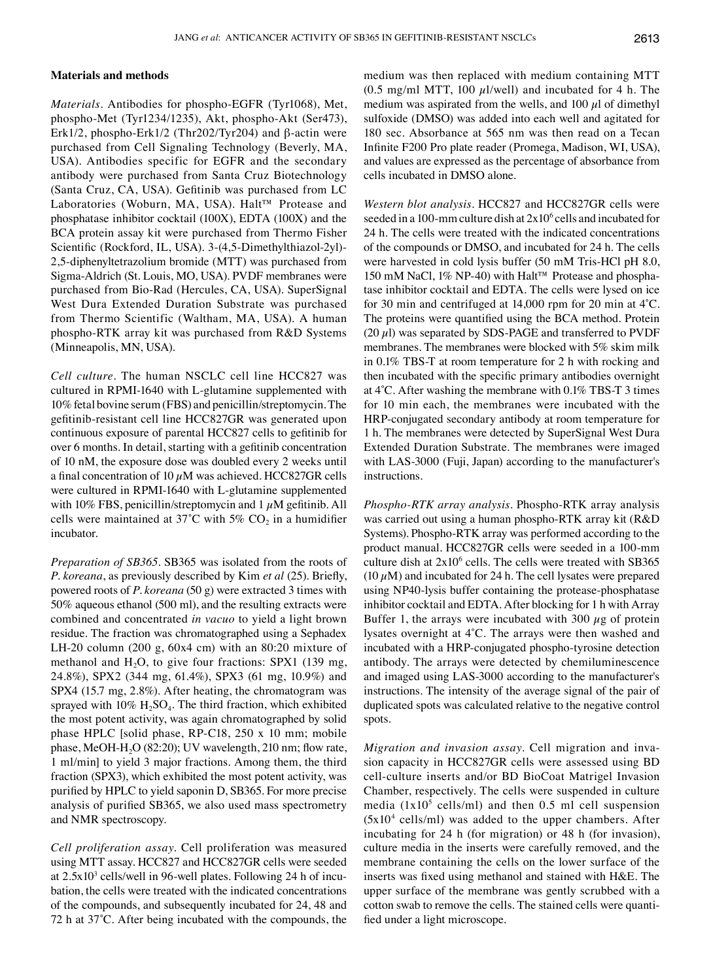# **Materials and methods**

*Materials.* Antibodies for phospho-EGFR (Tyr1068), Met, phospho-Met (Tyr1234/1235), Akt, phospho-Akt (Ser473), Erk1/2, phospho-Erk1/2 (Thr202/Tyr204) and β-actin were purchased from Cell Signaling Technology (Beverly, MA, USA). Antibodies specific for EGFR and the secondary antibody were purchased from Santa Cruz Biotechnology (Santa Cruz, CA, USA). Gefitinib was purchased from LC Laboratories (Woburn, MA, USA). Halt™ Protease and phosphatase inhibitor cocktail (100X), EDTA (100X) and the BCA protein assay kit were purchased from Thermo Fisher Scientific (Rockford, IL, USA). 3-(4,5-Dimethylthiazol-2yl)- 2,5-diphenyltetrazolium bromide (MTT) was purchased from Sigma-Aldrich (St. Louis, MO, USA). PVDF membranes were purchased from Bio-Rad (Hercules, CA, USA). SuperSignal West Dura Extended Duration Substrate was purchased from Thermo Scientific (Waltham, MA, USA). A human phospho-RTK array kit was purchased from R&D Systems (Minneapolis, MN, USA).

*Cell culture.* The human NSCLC cell line HCC827 was cultured in RPMI-1640 with L-glutamine supplemented with 10% fetal bovine serum (FBS) and penicillin/streptomycin. The gefitinib-resistant cell line HCC827GR was generated upon continuous exposure of parental HCC827 cells to gefitinib for over 6 months. In detail, starting with a gefitinib concentration of 10 nM, the exposure dose was doubled every 2 weeks until a final concentration of 10  $\mu$ M was achieved. HCC827GR cells were cultured in RPMI-1640 with L-glutamine supplemented with 10% FBS, penicillin/streptomycin and  $1 \mu$ M gefitinib. All cells were maintained at  $37^{\circ}$ C with  $5\%$  CO<sub>2</sub> in a humidifier incubator.

*Preparation of SB365.* SB365 was isolated from the roots of *P. koreana*, as previously described by Kim *et al* (25). Briefly, powered roots of *P. koreana* (50 g) were extracted 3 times with 50% aqueous ethanol (500 ml), and the resulting extracts were combined and concentrated *in vacuo* to yield a light brown residue. The fraction was chromatographed using a Sephadex LH-20 column (200 g, 60x4 cm) with an 80:20 mixture of methanol and  $H_2O$ , to give four fractions: SPX1 (139 mg, 24.8%), SPX2 (344 mg, 61.4%), SPX3 (61 mg, 10.9%) and SPX4 (15.7 mg, 2.8%). After heating, the chromatogram was sprayed with  $10\%$   $H_2SO_4$ . The third fraction, which exhibited the most potent activity, was again chromatographed by solid phase HPLC [solid phase, RP-C18, 250 x 10 mm; mobile phase, MeOH-H<sub>2</sub>O (82:20); UV wavelength, 210 nm; flow rate, 1 ml/min] to yield 3 major fractions. Among them, the third fraction (SPX3), which exhibited the most potent activity, was purified by HPLC to yield saponin D, SB365. For more precise analysis of purified SB365, we also used mass spectrometry and NMR spectroscopy.

*Cell proliferation assay.* Cell proliferation was measured using MTT assay. HCC827 and HCC827GR cells were seeded at  $2.5x10<sup>3</sup>$  cells/well in 96-well plates. Following 24 h of incubation, the cells were treated with the indicated concentrations of the compounds, and subsequently incubated for 24, 48 and 72 h at 37˚C. After being incubated with the compounds, the medium was then replaced with medium containing MTT (0.5 mg/ml MTT, 100  $\mu$ l/well) and incubated for 4 h. The medium was aspirated from the wells, and 100  $\mu$ l of dimethyl sulfoxide (DMSO) was added into each well and agitated for 180 sec. Absorbance at 565 nm was then read on a Tecan Infinite F200 Pro plate reader (Promega, Madison, WI, USA), and values are expressed as the percentage of absorbance from cells incubated in DMSO alone.

*Western blot analysis.* HCC827 and HCC827GR cells were seeded in a 100-mm culture dish at  $2x10<sup>6</sup>$  cells and incubated for 24 h. The cells were treated with the indicated concentrations of the compounds or DMSO, and incubated for 24 h. The cells were harvested in cold lysis buffer (50 mM Tris-HCl pH 8.0, 150 mM NaCl, 1% NP-40) with Halt™ Protease and phosphatase inhibitor cocktail and EDTA. The cells were lysed on ice for 30 min and centrifuged at 14,000 rpm for 20 min at 4˚C. The proteins were quantified using the BCA method. Protein  $(20 \mu l)$  was separated by SDS-PAGE and transferred to PVDF membranes. The membranes were blocked with 5% skim milk in 0.1% TBS-T at room temperature for 2 h with rocking and then incubated with the specific primary antibodies overnight at 4˚C. After washing the membrane with 0.1% TBS-T 3 times for 10 min each, the membranes were incubated with the HRP-conjugated secondary antibody at room temperature for 1 h. The membranes were detected by SuperSignal West Dura Extended Duration Substrate. The membranes were imaged with LAS-3000 (Fuji, Japan) according to the manufacturer's instructions.

*Phospho-RTK array analysis.* Phospho-RTK array analysis was carried out using a human phospho-RTK array kit (R&D Systems). Phospho-RTK array was performed according to the product manual. HCC827GR cells were seeded in a 100-mm culture dish at  $2x10^6$  cells. The cells were treated with SB365 (10  $\mu$ M) and incubated for 24 h. The cell lysates were prepared using NP40-lysis buffer containing the protease-phosphatase inhibitor cocktail and EDTA. After blocking for 1 h with Array Buffer 1, the arrays were incubated with 300  $\mu$ g of protein lysates overnight at 4˚C. The arrays were then washed and incubated with a HRP-conjugated phospho-tyrosine detection antibody. The arrays were detected by chemiluminescence and imaged using LAS-3000 according to the manufacturer's instructions. The intensity of the average signal of the pair of duplicated spots was calculated relative to the negative control spots.

*Migration and invasion assay.* Cell migration and invasion capacity in HCC827GR cells were assessed using BD cell-culture inserts and/or BD BioCoat Matrigel Invasion Chamber, respectively. The cells were suspended in culture media  $(1x10^5 \text{ cells/ml})$  and then 0.5 ml cell suspension  $(5x10<sup>4</sup>$  cells/ml) was added to the upper chambers. After incubating for 24 h (for migration) or 48 h (for invasion), culture media in the inserts were carefully removed, and the membrane containing the cells on the lower surface of the inserts was fixed using methanol and stained with H&E. The upper surface of the membrane was gently scrubbed with a cotton swab to remove the cells. The stained cells were quantified under a light microscope.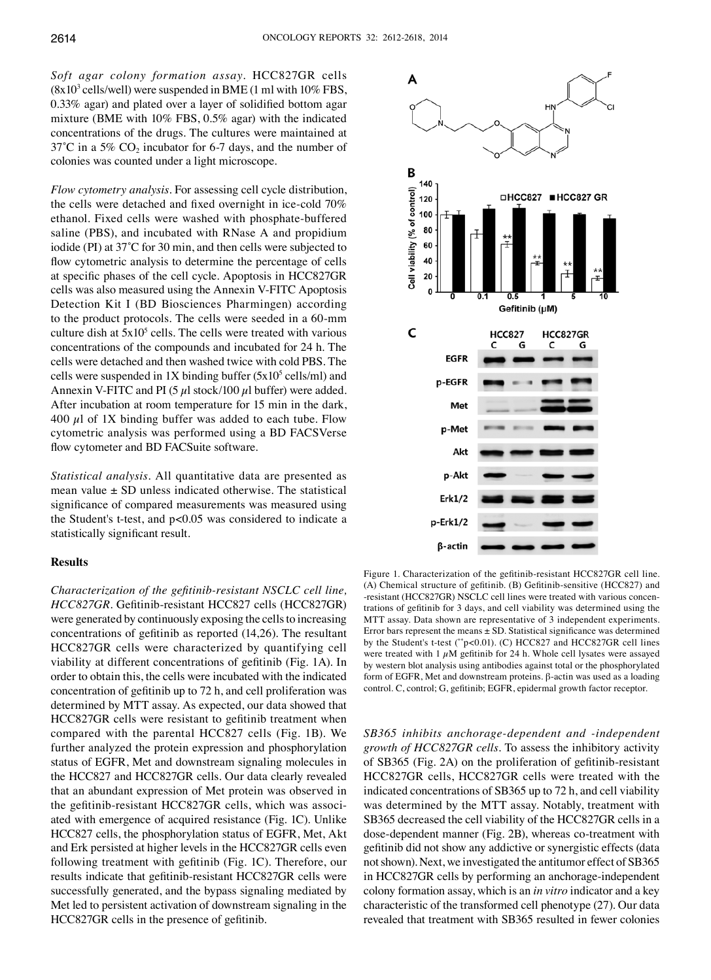*Soft agar colony formation assay.* HCC827GR cells  $(8x10<sup>3</sup>$  cells/well) were suspended in BME (1 ml with  $10\%$  FBS, 0.33% agar) and plated over a layer of solidified bottom agar mixture (BME with 10% FBS, 0.5% agar) with the indicated concentrations of the drugs. The cultures were maintained at  $37^{\circ}$ C in a 5% CO<sub>2</sub> incubator for 6-7 days, and the number of colonies was counted under a light microscope.

*Flow cytometry analysis.* For assessing cell cycle distribution, the cells were detached and fixed overnight in ice-cold 70% ethanol. Fixed cells were washed with phosphate-buffered saline (PBS), and incubated with RNase A and propidium iodide (PI) at 37˚C for 30 min, and then cells were subjected to flow cytometric analysis to determine the percentage of cells at specific phases of the cell cycle. Apoptosis in HCC827GR cells was also measured using the Annexin V-FITC Apoptosis Detection Kit I (BD Biosciences Pharmingen) according to the product protocols. The cells were seeded in a 60-mm culture dish at  $5x10^5$  cells. The cells were treated with various concentrations of the compounds and incubated for 24 h. The cells were detached and then washed twice with cold PBS. The cells were suspended in  $1X$  binding buffer  $(5x10^5 \text{ cells/ml})$  and Annexin V-FITC and PI (5  $\mu$ l stock/100  $\mu$ l buffer) were added. After incubation at room temperature for 15 min in the dark, 400  $\mu$ l of 1X binding buffer was added to each tube. Flow cytometric analysis was performed using a BD FACSVerse flow cytometer and BD FACSuite software.

*Statistical analysis.* All quantitative data are presented as mean value  $\pm$  SD unless indicated otherwise. The statistical significance of compared measurements was measured using the Student's t-test, and p<0.05 was considered to indicate a statistically significant result.

## **Results**

*Characterization of the gefitinib-resistant NSCLC cell line, HCC827GR.* Gefitinib-resistant HCC827 cells (HCC827GR) were generated by continuously exposing the cells to increasing concentrations of gefitinib as reported (14,26). The resultant HCC827GR cells were characterized by quantifying cell viability at different concentrations of gefitinib (Fig. 1A). In order to obtain this, the cells were incubated with the indicated concentration of gefitinib up to 72 h, and cell proliferation was determined by MTT assay. As expected, our data showed that HCC827GR cells were resistant to gefitinib treatment when compared with the parental HCC827 cells (Fig. 1B). We further analyzed the protein expression and phosphorylation status of EGFR, Met and downstream signaling molecules in the HCC827 and HCC827GR cells. Our data clearly revealed that an abundant expression of Met protein was observed in the gefitinib-resistant HCC827GR cells, which was associated with emergence of acquired resistance (Fig. 1C). Unlike HCC827 cells, the phosphorylation status of EGFR, Met, Akt and Erk persisted at higher levels in the HCC827GR cells even following treatment with gefitinib (Fig. 1C). Therefore, our results indicate that gefitinib-resistant HCC827GR cells were successfully generated, and the bypass signaling mediated by Met led to persistent activation of downstream signaling in the HCC827GR cells in the presence of gefitinib.



Figure 1. Characterization of the gefitinib-resistant HCC827GR cell line. (A) Chemical structure of gefitinib. (B) Gefitinib-sensitive (HCC827) and -resistant (HCC827GR) NSCLC cell lines were treated with various concentrations of gefitinib for 3 days, and cell viability was determined using the MTT assay. Data shown are representative of 3 independent experiments. Error bars represent the means  $\pm$  SD. Statistical significance was determined by the Student's t-test (\*\*p<0.01). (C) HCC827 and HCC827GR cell lines were treated with 1  $\mu$ M gefitinib for 24 h. Whole cell lysates were assayed by western blot analysis using antibodies against total or the phosphorylated form of EGFR, Met and downstream proteins. β-actin was used as a loading control. C, control; G, gefitinib; EGFR, epidermal growth factor receptor.

*SB365 inhibits anchorage-dependent and -independent growth of HCC827GR cells.* To assess the inhibitory activity of SB365 (Fig. 2A) on the proliferation of gefitinib-resistant HCC827GR cells, HCC827GR cells were treated with the indicated concentrations of SB365 up to 72 h, and cell viability was determined by the MTT assay. Notably, treatment with SB365 decreased the cell viability of the HCC827GR cells in a dose-dependent manner (Fig. 2B), whereas co-treatment with gefitinib did not show any addictive or synergistic effects (data not shown). Next, we investigated the antitumor effect of SB365 in HCC827GR cells by performing an anchorage-independent colony formation assay, which is an *in vitro* indicator and a key characteristic of the transformed cell phenotype (27). Our data revealed that treatment with SB365 resulted in fewer colonies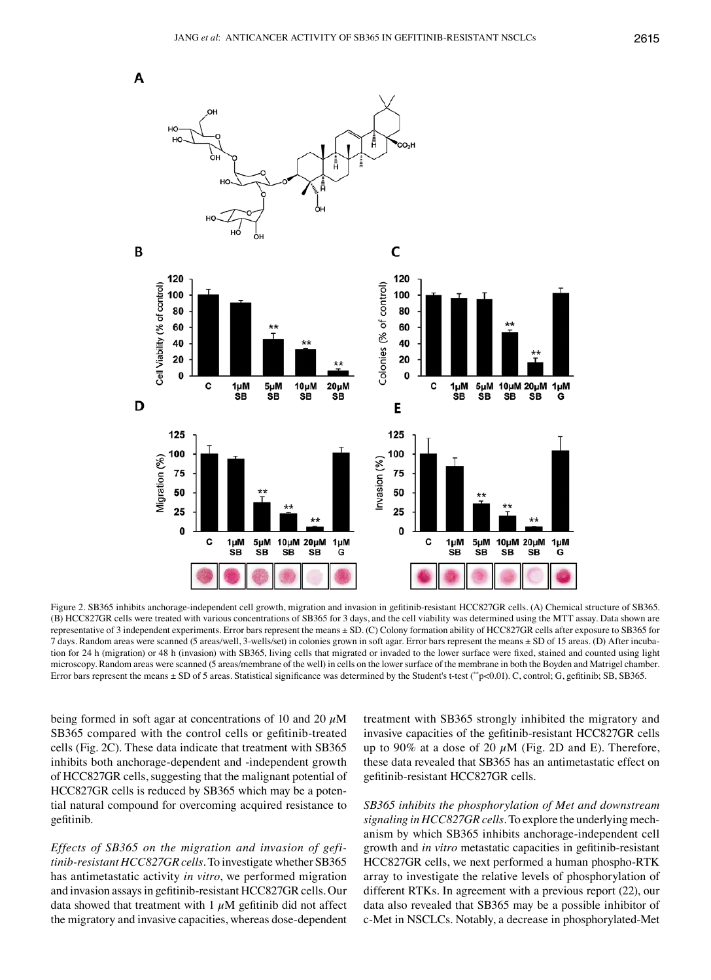

Figure 2. SB365 inhibits anchorage-independent cell growth, migration and invasion in gefitinib-resistant HCC827GR cells. (A) Chemical structure of SB365. (B) HCC827GR cells were treated with various concentrations of SB365 for 3 days, and the cell viability was determined using the MTT assay. Data shown are representative of 3 independent experiments. Error bars represent the means ± SD. (C) Colony formation ability of HCC827GR cells after exposure to SB365 for 7 days. Random areas were scanned (5 areas/well, 3-wells/set) in colonies grown in soft agar. Error bars represent the means ± SD of 15 areas. (D) After incubation for 24 h (migration) or 48 h (invasion) with SB365, living cells that migrated or invaded to the lower surface were fixed, stained and counted using light microscopy. Random areas were scanned (5 areas/membrane of the well) in cells on the lower surface of the membrane in both the Boyden and Matrigel chamber. Error bars represent the means ± SD of 5 areas. Statistical significance was determined by the Student's t-test (\*\*p<0.01). C, control; G, gefitinib; SB, SB365.

being formed in soft agar at concentrations of 10 and 20  $\mu$ M SB365 compared with the control cells or gefitinib-treated cells (Fig. 2C). These data indicate that treatment with SB365 inhibits both anchorage-dependent and -independent growth of HCC827GR cells, suggesting that the malignant potential of HCC827GR cells is reduced by SB365 which may be a potential natural compound for overcoming acquired resistance to gefitinib.

*Effects of SB365 on the migration and invasion of gefitinib-resistant HCC827GR cells.* To investigate whether SB365 has antimetastatic activity *in vitro*, we performed migration and invasion assays in gefitinib-resistant HCC827GR cells. Our data showed that treatment with  $1 \mu M$  gefitinib did not affect the migratory and invasive capacities, whereas dose-dependent treatment with SB365 strongly inhibited the migratory and invasive capacities of the gefitinib-resistant HCC827GR cells up to 90% at a dose of 20  $\mu$ M (Fig. 2D and E). Therefore, these data revealed that SB365 has an antimetastatic effect on gefitinib-resistant HCC827GR cells.

*SB365 inhibits the phosphorylation of Met and downstream signaling in HCC827GR cells.* To explore the underlying mechanism by which SB365 inhibits anchorage-independent cell growth and *in vitro* metastatic capacities in gefitinib-resistant HCC827GR cells, we next performed a human phospho-RTK array to investigate the relative levels of phosphorylation of different RTKs. In agreement with a previous report (22), our data also revealed that SB365 may be a possible inhibitor of c-Met in NSCLCs. Notably, a decrease in phosphorylated-Met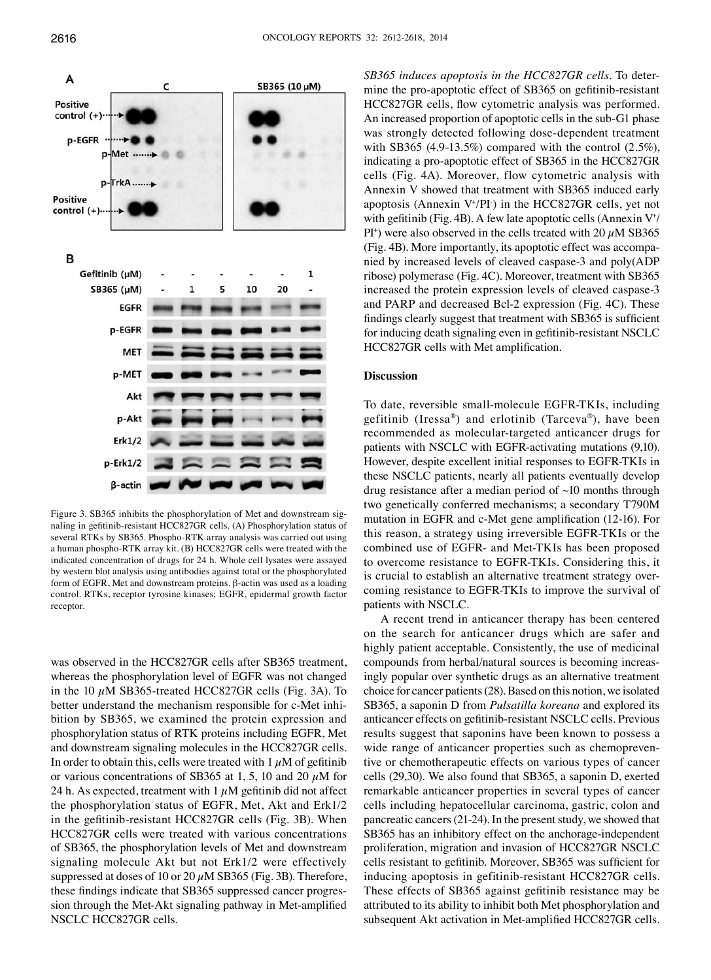

Figure 3. SB365 inhibits the phosphorylation of Met and downstream signaling in gefitinib-resistant HCC827GR cells. (A) Phosphorylation status of several RTKs by SB365. Phospho-RTK array analysis was carried out using a human phospho-RTK array kit. (B) HCC827GR cells were treated with the indicated concentration of drugs for 24 h. Whole cell lysates were assayed by western blot analysis using antibodies against total or the phosphorylated form of EGFR, Met and downstream proteins. β-actin was used as a loading control. RTKs, receptor tyrosine kinases; EGFR, epidermal growth factor receptor.

was observed in the HCC827GR cells after SB365 treatment, whereas the phosphorylation level of EGFR was not changed in the 10  $\mu$ M SB365-treated HCC827GR cells (Fig. 3A). To better understand the mechanism responsible for c-Met inhibition by SB365, we examined the protein expression and phosphorylation status of RTK proteins including EGFR, Met and downstream signaling molecules in the HCC827GR cells. In order to obtain this, cells were treated with  $1 \mu M$  of gefitinib or various concentrations of SB365 at 1, 5, 10 and 20  $\mu$ M for 24 h. As expected, treatment with  $1 \mu M$  gefitinib did not affect the phosphorylation status of EGFR, Met, Akt and Erk1/2 in the gefitinib-resistant HCC827GR cells (Fig. 3B). When HCC827GR cells were treated with various concentrations of SB365, the phosphorylation levels of Met and downstream signaling molecule Akt but not Erk1/2 were effectively suppressed at doses of 10 or 20  $\mu$ M SB365 (Fig. 3B). Therefore, these findings indicate that SB365 suppressed cancer progression through the Met-Akt signaling pathway in Met-amplified NSCLC HCC827GR cells.

*SB365 induces apoptosis in the HCC827GR cells.* To determine the pro-apoptotic effect of SB365 on gefitinib-resistant HCC827GR cells, flow cytometric analysis was performed. An increased proportion of apoptotic cells in the sub-G1 phase was strongly detected following dose-dependent treatment with SB365 (4.9-13.5%) compared with the control  $(2.5\%)$ , indicating a pro-apoptotic effect of SB365 in the HCC827GR cells (Fig. 4A). Moreover, flow cytometric analysis with Annexin V showed that treatment with SB365 induced early apoptosis (Annexin  $V^{\dagger}/PI$ ) in the HCC827GR cells, yet not with gefitinib (Fig. 4B). A few late apoptotic cells (Annexin  $V^{\dagger}$ )  $PI^*$ ) were also observed in the cells treated with 20  $\mu$ M SB365 (Fig. 4B). More importantly, its apoptotic effect was accompanied by increased levels of cleaved caspase-3 and poly(ADP ribose) polymerase (Fig. 4C). Moreover, treatment with SB365 increased the protein expression levels of cleaved caspase-3 and PARP and decreased Bcl-2 expression (Fig. 4C). These findings clearly suggest that treatment with SB365 is sufficient for inducing death signaling even in gefitinib-resistant NSCLC HCC827GR cells with Met amplification.

# **Discussion**

To date, reversible small-molecule EGFR-TKIs, including gefitinib (Iressa®) and erlotinib (Tarceva®), have been recommended as molecular-targeted anticancer drugs for patients with NSCLC with EGFR-activating mutations (9,10). However, despite excellent initial responses to EGFR-TKIs in these NSCLC patients, nearly all patients eventually develop drug resistance after a median period of ~10 months through two genetically conferred mechanisms; a secondary T790M mutation in EGFR and c-Met gene amplification (12-16). For this reason, a strategy using irreversible EGFR-TKIs or the combined use of EGFR- and Met-TKIs has been proposed to overcome resistance to EGFR-TKIs. Considering this, it is crucial to establish an alternative treatment strategy overcoming resistance to EGFR-TKIs to improve the survival of patients with NSCLC.

A recent trend in anticancer therapy has been centered on the search for anticancer drugs which are safer and highly patient acceptable. Consistently, the use of medicinal compounds from herbal/natural sources is becoming increasingly popular over synthetic drugs as an alternative treatment choice for cancer patients(28). Based on this notion, we isolated SB365, a saponin D from *Pulsatilla koreana* and explored its anticancer effects on gefitinib-resistant NSCLC cells. Previous results suggest that saponins have been known to possess a wide range of anticancer properties such as chemopreventive or chemotherapeutic effects on various types of cancer cells (29,30). We also found that SB365, a saponin D, exerted remarkable anticancer properties in several types of cancer cells including hepatocellular carcinoma, gastric, colon and pancreatic cancers(21-24). In the present study, we showed that SB365 has an inhibitory effect on the anchorage-independent proliferation, migration and invasion of HCC827GR NSCLC cells resistant to gefitinib. Moreover, SB365 was sufficient for inducing apoptosis in gefitinib-resistant HCC827GR cells. These effects of SB365 against gefitinib resistance may be attributed to its ability to inhibit both Met phosphorylation and subsequent Akt activation in Met-amplified HCC827GR cells.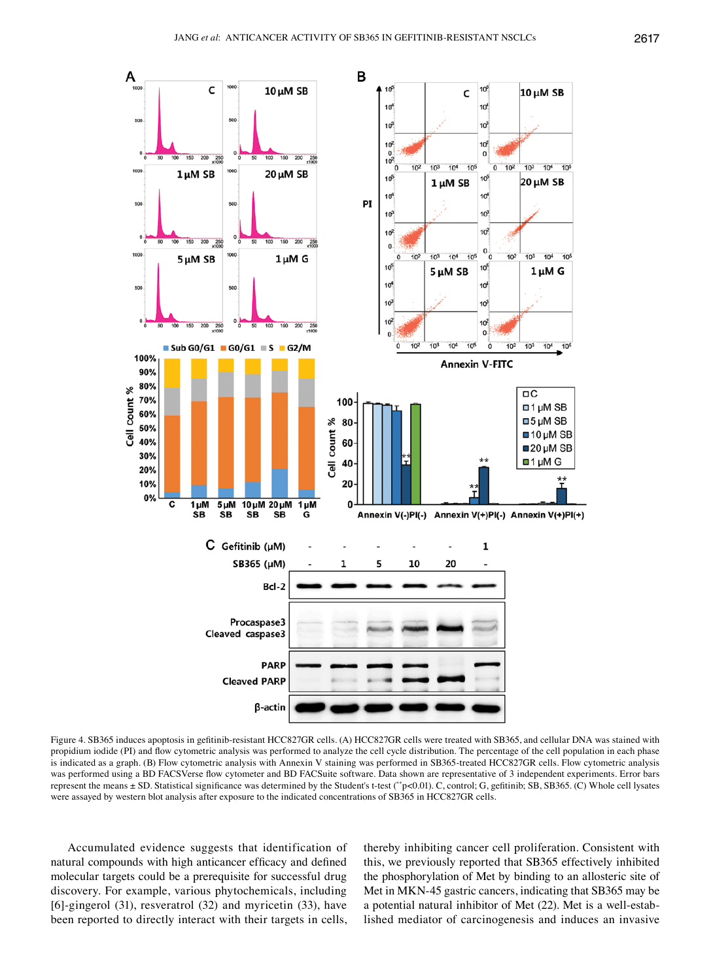

Figure 4. SB365 induces apoptosis in gefitinib-resistant HCC827GR cells. (A) HCC827GR cells were treated with SB365, and cellular DNA was stained with propidium iodide (PI) and flow cytometric analysis was performed to analyze the cell cycle distribution. The percentage of the cell population in each phase is indicated as a graph. (B) Flow cytometric analysis with Annexin V staining was performed in SB365-treated HCC827GR cells. Flow cytometric analysis was performed using a BD FACSVerse flow cytometer and BD FACSuite software. Data shown are representative of 3 independent experiments. Error bars represent the means ± SD. Statistical significance was determined by the Student's t-test (\*\*p<0.01). C, control; G, gefitinib; SB, SB365. (C) Whole cell lysates were assayed by western blot analysis after exposure to the indicated concentrations of SB365 in HCC827GR cells.

Accumulated evidence suggests that identification of natural compounds with high anticancer efficacy and defined molecular targets could be a prerequisite for successful drug discovery. For example, various phytochemicals, including [6]-gingerol (31), resveratrol (32) and myricetin (33), have been reported to directly interact with their targets in cells,

thereby inhibiting cancer cell proliferation. Consistent with this, we previously reported that SB365 effectively inhibited the phosphorylation of Met by binding to an allosteric site of Met in MKN-45 gastric cancers, indicating that SB365 may be a potential natural inhibitor of Met (22). Met is a well-established mediator of carcinogenesis and induces an invasive